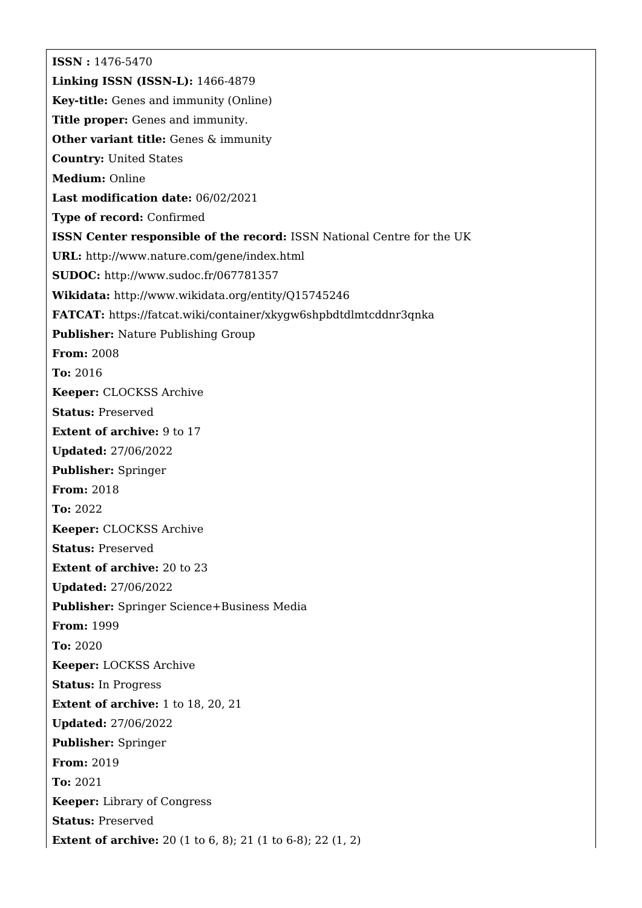**ISSN :** 1476-5470 **Linking ISSN (ISSN-L):** 1466-4879 **Key-title:** Genes and immunity (Online) **Title proper:** Genes and immunity. **Other variant title:** Genes & immunity **Country:** United States **Medium:** Online **Last modification date:** 06/02/2021 **Type of record:** Confirmed **ISSN Center responsible of the record:** ISSN National Centre for the UK **URL:** <http://www.nature.com/gene/index.html> **SUDOC:** <http://www.sudoc.fr/067781357> **Wikidata:** <http://www.wikidata.org/entity/Q15745246> **FATCAT:** <https://fatcat.wiki/container/xkygw6shpbdtdlmtcddnr3qnka> **Publisher:** Nature Publishing Group **From:** 2008 **To:** 2016 **Keeper:** CLOCKSS Archive **Status:** Preserved **Extent of archive:** 9 to 17 **Updated:** 27/06/2022 **Publisher:** Springer **From:** 2018 **To:** 2022 **Keeper:** CLOCKSS Archive **Status:** Preserved **Extent of archive:** 20 to 23 **Updated:** 27/06/2022 **Publisher:** Springer Science+Business Media **From:** 1999 **To:** 2020 **Keeper:** LOCKSS Archive **Status:** In Progress **Extent of archive:** 1 to 18, 20, 21 **Updated:** 27/06/2022 **Publisher:** Springer **From:** 2019 **To:** 2021 **Keeper:** Library of Congress **Status:** Preserved **Extent of archive:** 20 (1 to 6, 8); 21 (1 to 6-8); 22 (1, 2)